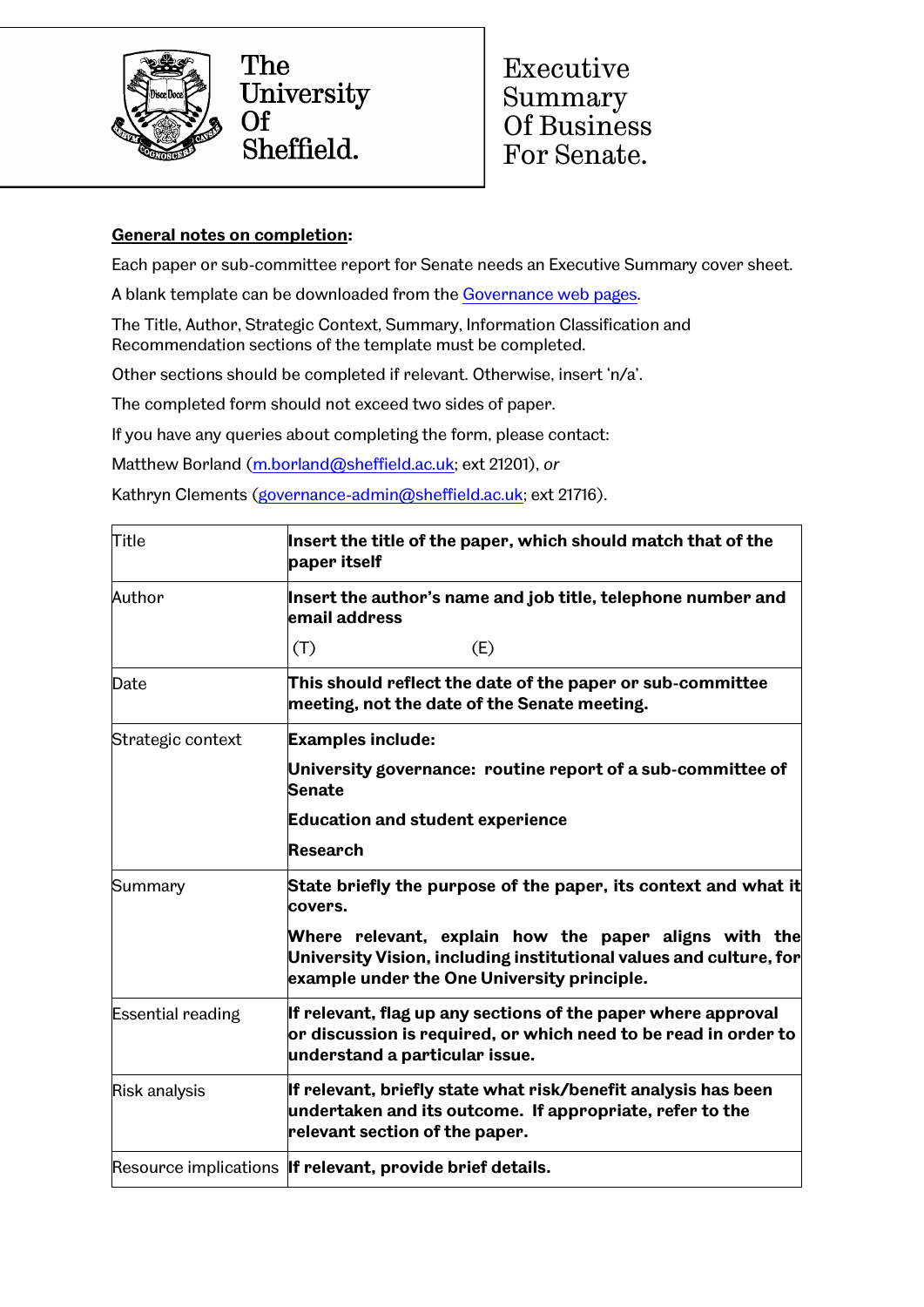

The University **Of** Sheffield.

Executive Summary Of Business For Senate.

## **General notes on completion:**

Each paper or sub-committee report for Senate needs an Executive Summary cover sheet.

A blank template can be downloaded from the [Governance web pages.](https://www.sheffield.ac.uk/govern/senate)

The Title, Author, Strategic Context, Summary, Information Classification and Recommendation sections of the template must be completed.

Other sections should be completed if relevant. Otherwise, insert 'n/a'.

The completed form should not exceed two sides of paper.

If you have any queries about completing the form, please contact:

Matthew Borland [\(m.borland@sheffield.ac.uk;](mailto:m.borland@sheffield.ac.uk) ext 21201), *or*

Kathryn Clements [\(governance-admin@sheffield.ac.uk;](mailto:governance-admin@sheffield.ac.uk) ext 21716).

| Title                    | Insert the title of the paper, which should match that of the<br>paper itself                                                                                              |
|--------------------------|----------------------------------------------------------------------------------------------------------------------------------------------------------------------------|
| Author                   | Insert the author's name and job title, telephone number and<br>email address                                                                                              |
|                          | (E)<br>(T)                                                                                                                                                                 |
| Date                     | This should reflect the date of the paper or sub-committee<br>meeting, not the date of the Senate meeting.                                                                 |
| Strategic context        | <b>Examples include:</b>                                                                                                                                                   |
|                          | University governance: routine report of a sub-committee of<br><b>Senate</b>                                                                                               |
|                          | <b>Education and student experience</b>                                                                                                                                    |
|                          | <b>Research</b>                                                                                                                                                            |
| Summary                  | State briefly the purpose of the paper, its context and what it<br>covers.                                                                                                 |
|                          | Where relevant, explain how the paper aligns with the<br>University Vision, including institutional values and culture, for<br>example under the One University principle. |
| <b>Essential reading</b> | If relevant, flag up any sections of the paper where approval<br>or discussion is required, or which need to be read in order to<br>understand a particular issue.         |
| Risk analysis            | If relevant, briefly state what risk/benefit analysis has been<br>undertaken and its outcome. If appropriate, refer to the<br>relevant section of the paper.               |
|                          | Resource implications If relevant, provide brief details.                                                                                                                  |